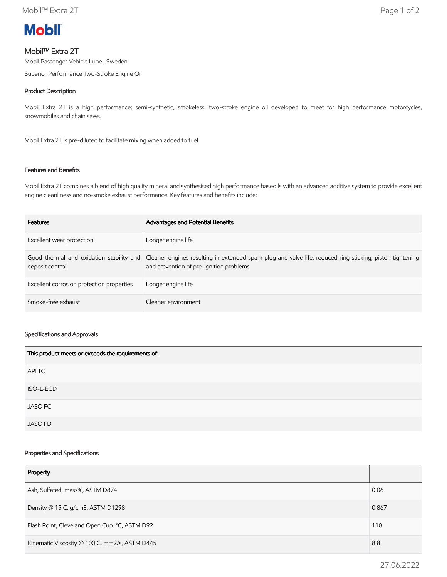

# Mobil™ Extra 2T

Mobil Passenger Vehicle Lube , Sweden

Superior Performance Two-Stroke Engine Oil

### Product Description

Mobil Extra 2T is a high performance; semi-synthetic, smokeless, two-stroke engine oil developed to meet for high performance motorcycles, snowmobiles and chain saws.

Mobil Extra 2T is pre-diluted to facilitate mixing when added to fuel.

## Features and Benefits

Mobil Extra 2T combines a blend of high quality mineral and synthesised high performance baseoils with an advanced additive system to provide excellent engine cleanliness and no-smoke exhaust performance. Key features and benefits include:

| <b>Features</b>                           | Advantages and Potential Benefits                                                                                                                                                             |
|-------------------------------------------|-----------------------------------------------------------------------------------------------------------------------------------------------------------------------------------------------|
| Excellent wear protection                 | Longer engine life                                                                                                                                                                            |
| deposit control                           | Good thermal and oxidation stability and Cleaner engines resulting in extended spark plug and valve life, reduced ring sticking, piston tightening<br>and prevention of pre-ignition problems |
| Excellent corrosion protection properties | Longer engine life                                                                                                                                                                            |
| Smoke-free exhaust                        | Cleaner environment                                                                                                                                                                           |

#### Specifications and Approvals

| This product meets or exceeds the requirements of: |
|----------------------------------------------------|
| APITC                                              |
| ISO-L-EGD                                          |
| <b>JASO FC</b>                                     |
| <b>JASO FD</b>                                     |

#### Properties and Specifications

| Property                                      |       |
|-----------------------------------------------|-------|
| Ash, Sulfated, mass%, ASTM D874               | 0.06  |
| Density @ 15 C, g/cm3, ASTM D1298             | 0.867 |
| Flash Point, Cleveland Open Cup, °C, ASTM D92 |       |
| Kinematic Viscosity @ 100 C, mm2/s, ASTM D445 |       |